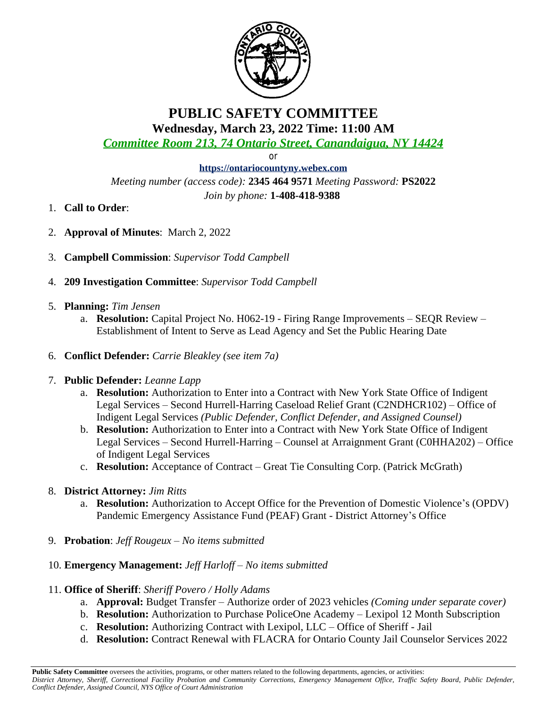

## **PUBLIC SAFETY COMMITTEE Wednesday, March 23, 2022 Time: 11:00 AM**

*Committee Room 213, 74 Ontario Street, Canandaigua, NY 14424*

or

**<https://ontariocountyny.webex.com>** *Meeting number (access code):* **2345 464 9571** *Meeting Password:* **PS2022** *Join by phone:* **1-408-418-9388** 

- 1. **Call to Order**:
- 2. **Approval of Minutes**: March 2, 2022
- 3. **Campbell Commission**: *Supervisor Todd Campbell*
- 4. **209 Investigation Committee**: *Supervisor Todd Campbell*
- 5. **Planning:** *Tim Jensen*
	- a. **Resolution:** Capital Project No. H062-19 Firing Range Improvements SEQR Review Establishment of Intent to Serve as Lead Agency and Set the Public Hearing Date
- 6. **Conflict Defender:** *Carrie Bleakley (see item 7a)*

## 7. **Public Defender:** *Leanne Lapp*

- a. **Resolution:** Authorization to Enter into a Contract with New York State Office of Indigent Legal Services – Second Hurrell-Harring Caseload Relief Grant (C2NDHCR102) – Office of Indigent Legal Services *(Public Defender, Conflict Defender, and Assigned Counsel)*
- b. **Resolution:** Authorization to Enter into a Contract with New York State Office of Indigent Legal Services – Second Hurrell-Harring – Counsel at Arraignment Grant (C0HHA202) – Office of Indigent Legal Services
- c. **Resolution:** Acceptance of Contract Great Tie Consulting Corp. (Patrick McGrath)

## 8. **District Attorney:** *Jim Ritts*

- a. **Resolution:** Authorization to Accept Office for the Prevention of Domestic Violence's (OPDV) Pandemic Emergency Assistance Fund (PEAF) Grant - District Attorney's Office
- 9. **Probation**: *Jeff Rougeux – No items submitted*
- 10. **Emergency Management:** *Jeff Harloff – No items submitted*
- 11. **Office of Sheriff**: *Sheriff Povero / Holly Adams*
	- a. **Approval:** Budget Transfer Authorize order of 2023 vehicles *(Coming under separate cover)*
	- b. **Resolution:** Authorization to Purchase PoliceOne Academy Lexipol 12 Month Subscription
	- c. **Resolution:** Authorizing Contract with Lexipol, LLC Office of Sheriff Jail
	- d. **Resolution:** Contract Renewal with FLACRA for Ontario County Jail Counselor Services 2022